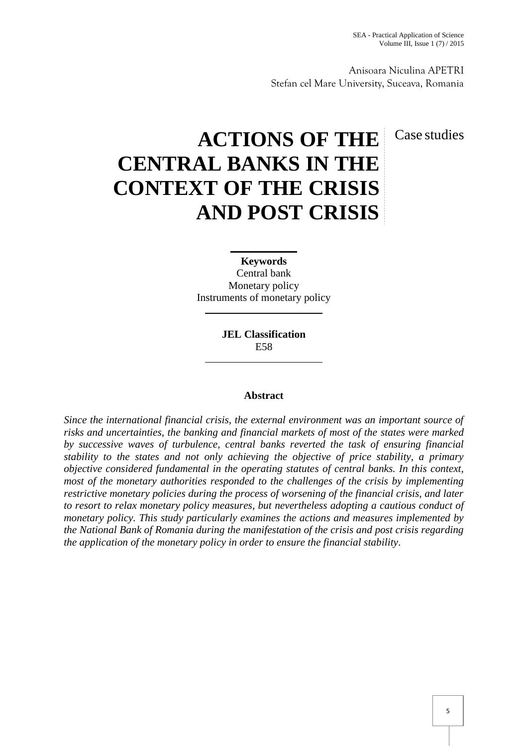Anisoara Niculina APETRI Stefan cel Mare University, Suceava, Romania

## Case studies

# **ACTIONS OF THE CENTRAL BANKS IN THE CONTEXT OF THE CRISIS AND POST CRISIS**

**Keywords**

Central bank Monetary policy Instruments of monetary policy

> **JEL Classification** E58

### **Abstract**

*Since the international financial crisis, the external environment was an important source of risks and uncertainties, the banking and financial markets of most of the states were marked by successive waves of turbulence, central banks reverted the task of ensuring financial stability to the states and not only achieving the objective of price stability, a primary objective considered fundamental in the operating statutes of central banks. In this context, most of the monetary authorities responded to the challenges of the crisis by implementing restrictive monetary policies during the process of worsening of the financial crisis, and later to resort to relax monetary policy measures, but nevertheless adopting a cautious conduct of monetary policy. This study particularly examines the actions and measures implemented by the National Bank of Romania during the manifestation of the crisis and post crisis regarding the application of the monetary policy in order to ensure the financial stability.*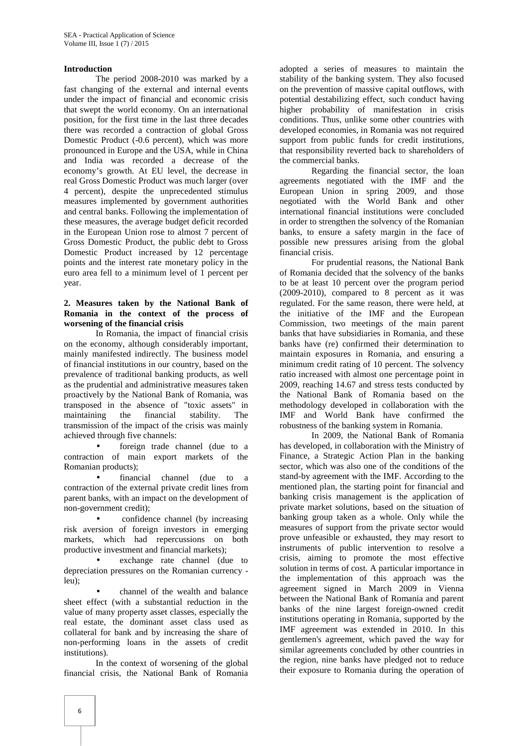#### **Introduction**

The period 2008-2010 was marked by a fast changing of the external and internal events under the impact of financial and economic crisis that swept the world economy. On an international position, for the first time in the last three decades there was recorded a contraction of global Gross Domestic Product (-0.6 percent), which was more pronounced in Europe and the USA, while in China and India was recorded a decrease of the economy's growth. At EU level, the decrease in real Gross Domestic Product was much larger (over 4 percent), despite the unprecedented stimulus measures implemented by government authorities and central banks. Following the implementation of these measures, the average budget deficit recorded in the European Union rose to almost 7 percent of Gross Domestic Product, the public debt to Gross Domestic Product increased by 12 percentage points and the interest rate monetary policy in the euro area fell to a minimum level of 1 percent per year.

#### **2. Measures taken by the National Bank of Romania in the context of the process of worsening of the financial crisis**

In Romania, the impact of financial crisis on the economy, although considerably important, mainly manifested indirectly. The business model of financial institutions in our country, based on the prevalence of traditional banking products, as well as the prudential and administrative measures taken proactively by the National Bank of Romania, was transposed in the absence of "toxic assets" in maintaining the financial stability. The transmission of the impact of the crisis was mainly achieved through five channels:

 foreign trade channel (due to a contraction of main export markets of the Romanian products);

 financial channel (due to a contraction of the external private credit lines from parent banks, with an impact on the development of non-government credit);

 confidence channel (by increasing risk aversion of foreign investors in emerging markets, which had repercussions on both productive investment and financial markets);

 exchange rate channel (due to depreciation pressures on the Romanian currency leu);

 channel of the wealth and balance sheet effect (with a substantial reduction in the value of many property asset classes, especially the real estate, the dominant asset class used as collateral for bank and by increasing the share of non-performing loans in the assets of credit institutions).

In the context of worsening of the global financial crisis, the National Bank of Romania

adopted a series of measures to maintain the stability of the banking system. They also focused on the prevention of massive capital outflows, with potential destabilizing effect, such conduct having higher probability of manifestation in crisis conditions. Thus, unlike some other countries with developed economies, in Romania was not required support from public funds for credit institutions, that responsibility reverted back to shareholders of the commercial banks.

Regarding the financial sector, the loan agreements negotiated with the IMF and the European Union in spring 2009, and those negotiated with the World Bank and other international financial institutions were concluded in order to strengthen the solvency of the Romanian banks, to ensure a safety margin in the face of possible new pressures arising from the global financial crisis.

For prudential reasons, the National Bank of Romania decided that the solvency of the banks to be at least 10 percent over the program period (2009-2010), compared to 8 percent as it was regulated. For the same reason, there were held, at the initiative of the IMF and the European Commission, two meetings of the main parent banks that have subsidiaries in Romania, and these banks have (re) confirmed their determination to maintain exposures in Romania, and ensuring a minimum credit rating of 10 percent. The solvency ratio increased with almost one percentage point in 2009, reaching 14.67 and stress tests conducted by the National Bank of Romania based on the methodology developed in collaboration with the IMF and World Bank have confirmed the robustness of the banking system in Romania.

In 2009, the National Bank of Romania has developed, in collaboration with the Ministry of Finance, a Strategic Action Plan in the banking sector, which was also one of the conditions of the stand-by agreement with the IMF. According to the mentioned plan, the starting point for financial and banking crisis management is the application of private market solutions, based on the situation of banking group taken as a whole. Only while the measures of support from the private sector would prove unfeasible or exhausted, they may resort to instruments of public intervention to resolve a crisis, aiming to promote the most effective solution in terms of cost. A particular importance in the implementation of this approach was the agreement signed in March 2009 in Vienna between the National Bank of Romania and parent banks of the nine largest foreign-owned credit institutions operating in Romania, supported by the IMF agreement was extended in 2010. In this gentlemen's agreement, which paved the way for similar agreements concluded by other countries in the region, nine banks have pledged not to reduce their exposure to Romania during the operation of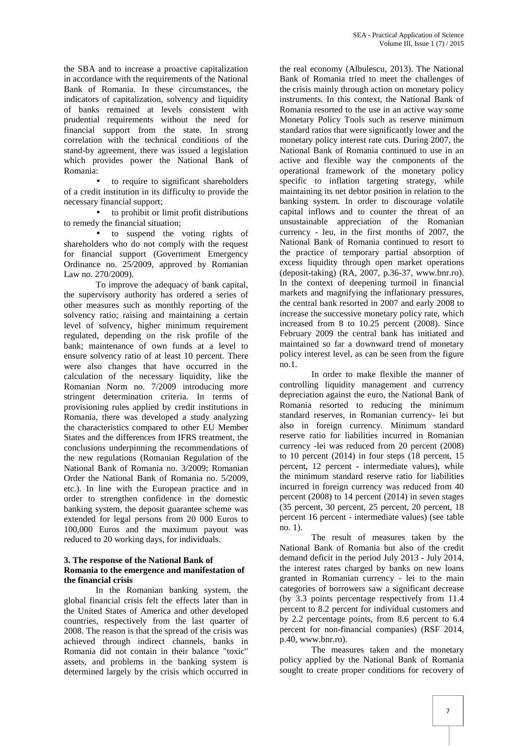the SBA and to increase a proactive capitalization in accordance with the requirements of the National Bank of Romania. In these circumstances, the indicators of capitalization, solvency and liquidity of banks remained at levels consistent with prudential requirements without the need for financial support from the state. In strong correlation with the technical conditions of the stand-by agreement, there was issued a legislation which provides power the National Bank of Romania:

 to require to significant shareholders of a credit institution in its difficulty to provide the necessary financial support;

 to prohibit or limit profit distributions to remedy the financial situation;

 to suspend the voting rights of shareholders who do not comply with the request for financial support (Government Emergency Ordinance no. 25/2009, approved by Romanian Law no. 270/2009).

To improve the adequacy of bank capital, the supervisory authority has ordered a series of other measures such as monthly reporting of the solvency ratio; raising and maintaining a certain level of solvency, higher minimum requirement regulated, depending on the risk profile of the bank; maintenance of own funds at a level to ensure solvency ratio of at least 10 percent. There were also changes that have occurred in the calculation of the necessary liquidity, like the Romanian Norm no. 7/2009 introducing more stringent determination criteria. In terms of provisioning rules applied by credit institutions in Romania, there was developed a study analyzing the characteristics compared to other EU Member States and the differences from IFRS treatment, the conclusions underpinning the recommendations of the new regulations (Romanian Regulation of the National Bank of Romania no. 3/2009; Romanian Order the National Bank of Romania no. 5/2009, etc.). In line with the European practice and in order to strengthen confidence in the domestic banking system, the deposit guarantee scheme was extended for legal persons from 20 000 Euros to 100,000 Euros and the maximum payout was reduced to 20 working days, for individuals.

#### **3. The response of the National Bank of Romania to the emergence and manifestation of the financial crisis**

In the Romanian banking system, the global financial crisis felt the effects later than in the United States of America and other developed countries, respectively from the last quarter of 2008. The reason is that the spread of the crisis was achieved through indirect channels, banks in Romania did not contain in their balance "toxic" assets, and problems in the banking system is determined largely by the crisis which occurred in

the real economy (Albulescu, 2013). The National Bank of Romania tried to meet the challenges of the crisis mainly through action on monetary policy instruments. In this context, the National Bank of Romania resorted to the use in an active way some Monetary Policy Tools such as reserve minimum standard ratios that were significantly lower and the monetary policy interest rate cuts. During 2007, the National Bank of Romania continued to use in an active and flexible way the components of the operational framework of the monetary policy specific to inflation targeting strategy, while maintaining its net debtor position in relation to the banking system. In order to discourage volatile capital inflows and to counter the threat of an unsustainable appreciation of the Romanian currency - leu, in the first months of 2007, the National Bank of Romania continued to resort to the practice of temporary partial absorption of excess liquidity through open market operations (deposit-taking) (RA, 2007, p.36-37, www.bnr.ro). In the context of deepening turmoil in financial markets and magnifying the inflationary pressures, the central bank resorted in 2007 and early 2008 to increase the successive monetary policy rate, which increased from 8 to 10.25 percent (2008). Since February 2009 the central bank has initiated and maintained so far a downward trend of monetary policy interest level, as can be seen from the figure no.1.

In order to make flexible the manner of controlling liquidity management and currency depreciation against the euro, the National Bank of Romania resorted to reducing the minimum standard reserves, in Romanian currency- lei but also in foreign currency. Minimum standard reserve ratio for liabilities incurred in Romanian currency -lei was reduced from 20 percent (2008) to 10 percent (2014) in four steps (18 percent, 15 percent, 12 percent - intermediate values), while the minimum standard reserve ratio for liabilities incurred in foreign currency was reduced from 40 percent (2008) to 14 percent (2014) in seven stages (35 percent, 30 percent, 25 percent, 20 percent, 18 percent 16 percent - intermediate values) (see table no. 1).

The result of measures taken by the National Bank of Romania but also of the credit demand deficit in the period July 2013 - July 2014, the interest rates charged by banks on new loans granted in Romanian currency - lei to the main categories of borrowers saw a significant decrease (by 3.3 points percentage respectively from 11.4 percent to 8.2 percent for individual customers and by 2.2 percentage points, from 8.6 percent to 6.4 percent for non-financial companies) (RSF 2014, p.40, www.bnr.ro).

The measures taken and the monetary policy applied by the National Bank of Romania sought to create proper conditions for recovery of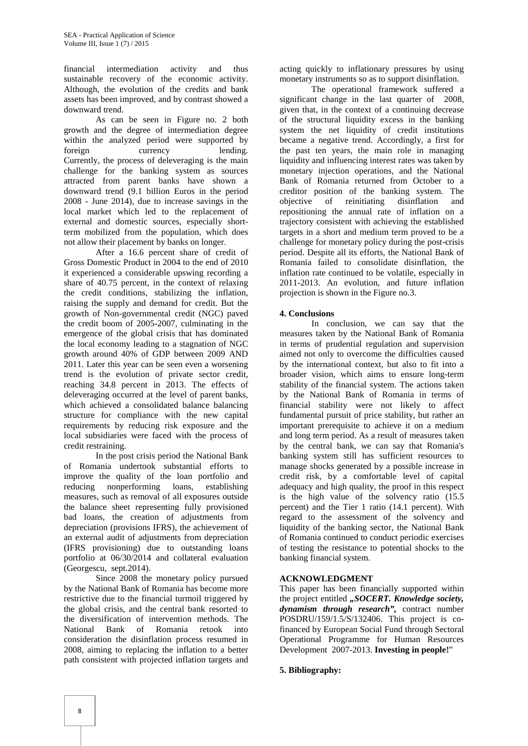financial intermediation activity and thus sustainable recovery of the economic activity. Although, the evolution of the credits and bank assets has been improved, and by contrast showed a downward trend.

As can be seen in Figure no. 2 both growth and the degree of intermediation degree within the analyzed period were supported by foreign currency lending. Currently, the process of deleveraging is the main challenge for the banking system as sources attracted from parent banks have shown a downward trend (9.1 billion Euros in the period 2008 - June 2014), due to increase savings in the local market which led to the replacement of external and domestic sources, especially shortterm mobilized from the population, which does not allow their placement by banks on longer.

After a 16.6 percent share of credit of Gross Domestic Product in 2004 to the end of 2010 it experienced a considerable upswing recording a share of 40.75 percent, in the context of relaxing the credit conditions, stabilizing the inflation, raising the supply and demand for credit. But the growth of Non-governmental credit (NGC) paved the credit boom of 2005-2007, culminating in the emergence of the global crisis that has dominated the local economy leading to a stagnation of NGC growth around 40% of GDP between 2009 AND 2011. Later this year can be seen even a worsening trend is the evolution of private sector credit, reaching 34.8 percent in 2013. The effects of deleveraging occurred at the level of parent banks, which achieved a consolidated balance balancing structure for compliance with the new capital requirements by reducing risk exposure and the local subsidiaries were faced with the process of credit restraining.

In the post crisis period the National Bank of Romania undertook substantial efforts to improve the quality of the loan portfolio and reducing nonperforming loans, establishing measures, such as removal of all exposures outside the balance sheet representing fully provisioned bad loans, the creation of adjustments from depreciation (provisions IFRS), the achievement of an external audit of adjustments from depreciation (IFRS provisioning) due to outstanding loans portfolio at 06/30/2014 and collateral evaluation (Georgescu, sept.2014).

Since 2008 the monetary policy pursued by the National Bank of Romania has become more restrictive due to the financial turmoil triggered by the global crisis, and the central bank resorted to the diversification of intervention methods. The National Bank of Romania retook into consideration the disinflation process resumed in 2008, aiming to replacing the inflation to a better path consistent with projected inflation targets and

acting quickly to inflationary pressures by using monetary instruments so as to support disinflation.

The operational framework suffered a significant change in the last quarter of 2008, given that, in the context of a continuing decrease of the structural liquidity excess in the banking system the net liquidity of credit institutions became a negative trend. Accordingly, a first for the past ten years, the main role in managing liquidity and influencing interest rates was taken by monetary injection operations, and the National Bank of Romania returned from October to a creditor position of the banking system. The objective of reinitiating disinflation and repositioning the annual rate of inflation on a trajectory consistent with achieving the established targets in a short and medium term proved to be a challenge for monetary policy during the post-crisis period. Despite all its efforts, the National Bank of Romania failed to consolidate disinflation, the inflation rate continued to be volatile, especially in 2011-2013. An evolution, and future inflation projection is shown in the Figure no.3.

#### **4. Conclusions**

In conclusion, we can say that the measures taken by the National Bank of Romania in terms of prudential regulation and supervision aimed not only to overcome the difficulties caused by the international context, but also to fit into a broader vision, which aims to ensure long-term stability of the financial system. The actions taken by the National Bank of Romania in terms of financial stability were not likely to affect fundamental pursuit of price stability, but rather an important prerequisite to achieve it on a medium and long term period. As a result of measures taken by the central bank, we can say that Romania's banking system still has sufficient resources to manage shocks generated by a possible increase in credit risk, by a comfortable level of capital adequacy and high quality, the proof in this respect is the high value of the solvency ratio (15.5 percent) and the Tier 1 ratio (14.1 percent). With regard to the assessment of the solvency and liquidity of the banking sector, the National Bank of Romania continued to conduct periodic exercises of testing the resistance to potential shocks to the banking financial system.

#### **ACKNOWLEDGMENT**

This paper has been financially supported within the project entitled *"SOCERT. Knowledge society, dynamism through research",* contract number POSDRU/159/1.5/S/132406. This project is cofinanced by European Social Fund through Sectoral Operational Programme for Human Resources Development 2007-2013. **Investing in people!**"

#### **5. Bibliography:**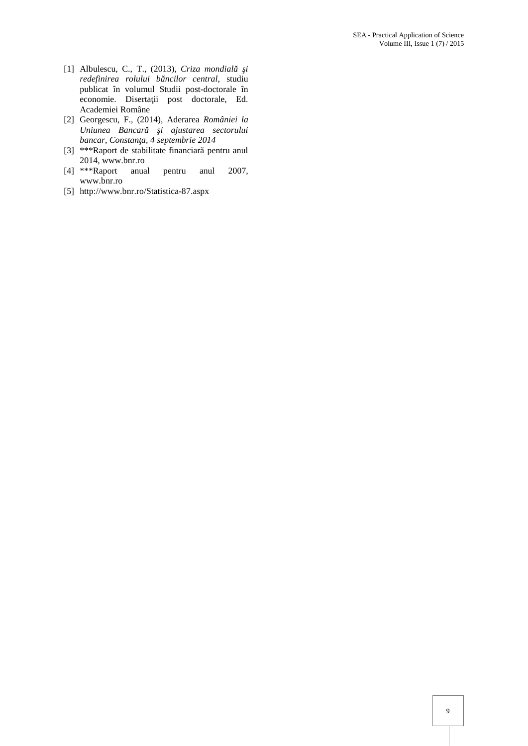- [1] Albulescu, C., T., (2013), *Criza mondial i redefinirea rolului băncilor central,* studiu publicat în volumul Studii post-doctorale în economie. Diserta ii post doctorale, Ed. Academiei Române
- [2] Georgescu, F., (2014), Aderarea *României la Uniunea Bancar i ajustarea sectorului bancar*, Constan a, 4 septembrie 2014
- [3] \*\*\*Raport de stabilitate financiar pentru anul 2014, www.bnr.ro
- [4] \*\*\*Raport anual pentru anul 2007, www.bnr.ro
- [5] http://www.bnr.ro/Statistica-87.aspx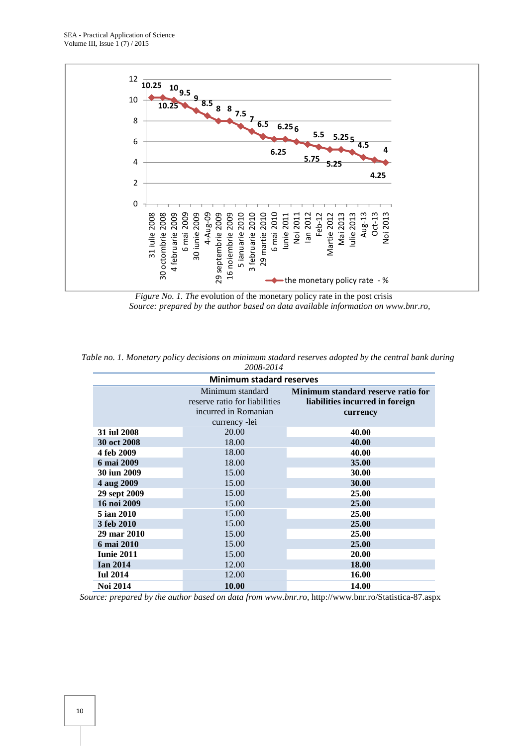SEA - Practical Application of Science Volume III, Issue 1 (7) / 2015



*Figure No. 1. The* evolution of the monetary policy rate in the post crisis *Source: prepared by the author based on data available information on www.bnr.ro,*

|  |  |  |           |  |  | Table no. 1. Monetary policy decisions on minimum stadard reserves adopted by the central bank during |  |  |
|--|--|--|-----------|--|--|-------------------------------------------------------------------------------------------------------|--|--|
|  |  |  | 2008-2014 |  |  |                                                                                                       |  |  |

| <b>Minimum stadard reserves</b> |                                                                                            |                                                                                   |  |  |  |  |
|---------------------------------|--------------------------------------------------------------------------------------------|-----------------------------------------------------------------------------------|--|--|--|--|
|                                 | Minimum standard<br>reserve ratio for liabilities<br>incurred in Romanian<br>currency -lei | Minimum standard reserve ratio for<br>liabilities incurred in foreign<br>currency |  |  |  |  |
| 31 iul 2008                     | 20.00                                                                                      | 40.00                                                                             |  |  |  |  |
| 30 oct 2008                     | 18.00                                                                                      | 40.00                                                                             |  |  |  |  |
| 4 feb 2009                      | 18.00                                                                                      | 40.00                                                                             |  |  |  |  |
| 6 mai 2009                      | 18.00                                                                                      | 35.00                                                                             |  |  |  |  |
| 30 iun 2009                     | 15.00                                                                                      | 30.00                                                                             |  |  |  |  |
| 4 aug 2009                      | 15.00                                                                                      | 30.00                                                                             |  |  |  |  |
| 29 sept 2009                    | 15.00                                                                                      | 25.00                                                                             |  |  |  |  |
| 16 noi 2009                     | 15.00                                                                                      | 25.00                                                                             |  |  |  |  |
| 5 ian 2010                      | 15.00                                                                                      | 25.00                                                                             |  |  |  |  |
| 3 feb 2010                      | 15.00                                                                                      | 25.00                                                                             |  |  |  |  |
| 29 mar 2010                     | 15.00                                                                                      | 25.00                                                                             |  |  |  |  |
| 6 mai 2010                      | 15.00                                                                                      | 25.00                                                                             |  |  |  |  |
| <b>Iunie 2011</b>               | 15.00                                                                                      | 20.00                                                                             |  |  |  |  |
| <b>Ian 2014</b>                 | 12.00                                                                                      | 18.00                                                                             |  |  |  |  |
| <b>Iul 2014</b>                 | 12.00                                                                                      | 16.00                                                                             |  |  |  |  |
| <b>Noi 2014</b>                 | 10.00                                                                                      | 14.00                                                                             |  |  |  |  |

*Source: prepared by the author based on data from www.bnr.ro,* http://www.bnr.ro/Statistica-87.aspx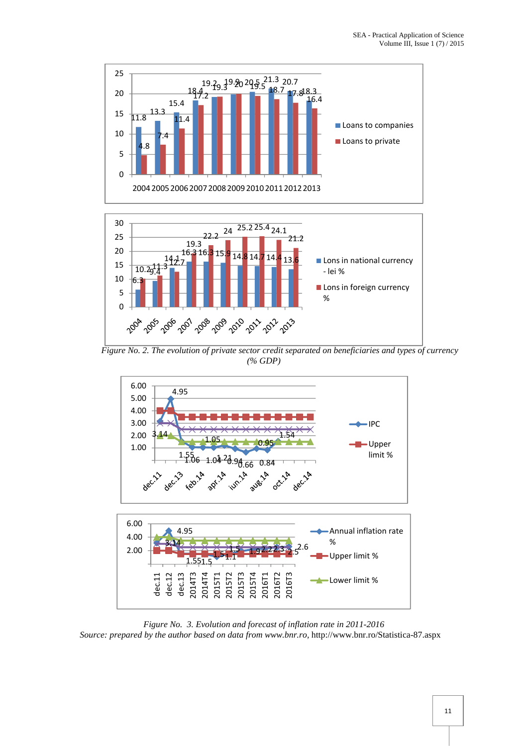



*Figure No. 2. The evolution of private sector credit separated on beneficiaries and types of currency (% GDP)*



*Figure No. 3. Evolution and forecast of inflation rate in 2011-2016 Source: prepared by the author based on data from www.bnr.ro,* http://www.bnr.ro/Statistica-87.aspx